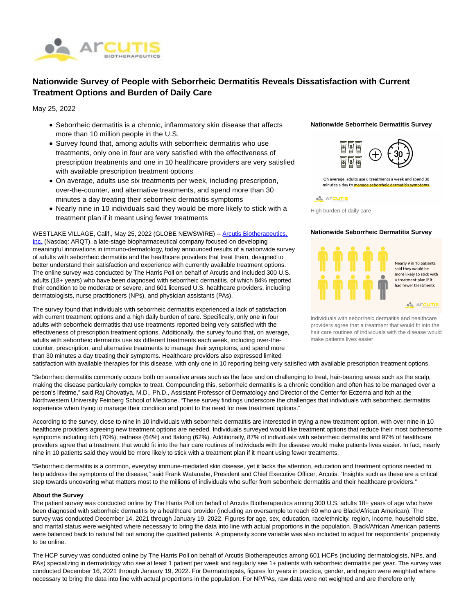

# **Nationwide Survey of People with Seborrheic Dermatitis Reveals Dissatisfaction with Current Treatment Options and Burden of Daily Care**

May 25, 2022

- Seborrheic dermatitis is a chronic, inflammatory skin disease that affects more than 10 million people in the U.S.
- Survey found that, among adults with seborrheic dermatitis who use treatments, only one in four are very satisfied with the effectiveness of prescription treatments and one in 10 healthcare providers are very satisfied with available prescription treatment options
- On average, adults use six treatments per week, including prescription, over-the-counter, and alternative treatments, and spend more than 30 minutes a day treating their seborrheic dermatitis symptoms
- Nearly nine in 10 individuals said they would be more likely to stick with a treatment plan if it meant using fewer treatments

WESTLAKE VILLAGE, Calif., May 25, 2022 (GLOBE NEWSWIRE) -- [Arcutis Biotherapeutics,](https://www.globenewswire.com/Tracker?data=YUNTDSYfQUY_pUp2Bz5auJeKuOpCQpPWM8N3tEJueXm5CvNlQQeBV2CtJll37frtrVSVfJOz6i0gVCk14fvt9RBcMflHUxWZucoibJBA4iU=) Inc. (Nasdaq: ARQT), a late-stage biopharmaceutical company focused on developing meaningful innovations in immuno-dermatology, today announced results of a nationwide survey of adults with seborrheic dermatitis and the healthcare providers that treat them, designed to better understand their satisfaction and experience with currently available treatment options. The online survey was conducted by The Harris Poll on behalf of Arcutis and included 300 U.S. adults (18+ years) who have been diagnosed with seborrheic dermatitis, of which 84% reported their condition to be moderate or severe, and 601 licensed U.S. healthcare providers, including dermatologists, nurse practitioners (NPs), and physician assistants (PAs).

The survey found that individuals with seborrheic dermatitis experienced a lack of satisfaction with current treatment options and a high daily burden of care. Specifically, only one in four adults with seborrheic dermatitis that use treatments reported being very satisfied with the effectiveness of prescription treatment options. Additionally, the survey found that, on average, adults with seborrheic dermatitis use six different treatments each week, including over-thecounter, prescription, and alternative treatments to manage their symptoms, and spend more than 30 minutes a day treating their symptoms. Healthcare providers also expressed limited

**Nationwide Seborrheic Dermatitis Survey**



On average, adults use 6 treatments a week and spend 30 minutes a day to manage seborrheic dermatitis sympt

**CA** Arcutis

High burden of daily care

#### **Nationwide Seborrheic Dermatitis Survey**



Nearly 9 in 10 patients said they would be more likely to stick with a treatment plan if it had fewer treatments

**CA** Arcutis

Individuals with seborrheic dermatitis and healthcare providers agree that a treatment that would fit into the hair care routines of individuals with the disease would make patients lives easier

satisfaction with available therapies for this disease, with only one in 10 reporting being very satisfied with available prescription treatment options.

"Seborrheic dermatitis commonly occurs both on sensitive areas such as the face and on challenging to treat, hair-bearing areas such as the scalp, making the disease particularly complex to treat. Compounding this, seborrheic dermatitis is a chronic condition and often has to be managed over a person's lifetime," said Raj Chovatiya, M.D., Ph.D., Assistant Professor of Dermatology and Director of the Center for Eczema and Itch at the Northwestern University Feinberg School of Medicine. "These survey findings underscore the challenges that individuals with seborrheic dermatitis experience when trying to manage their condition and point to the need for new treatment options."

According to the survey, close to nine in 10 individuals with seborrheic dermatitis are interested in trying a new treatment option, with over nine in 10 healthcare providers agreeing new treatment options are needed. Individuals surveyed would like treatment options that reduce their most bothersome symptoms including itch (70%), redness (64%) and flaking (62%). Additionally, 87% of individuals with seborrheic dermatitis and 97% of healthcare providers agree that a treatment that would fit into the hair care routines of individuals with the disease would make patients lives easier. In fact, nearly nine in 10 patients said they would be more likely to stick with a treatment plan if it meant using fewer treatments.

"Seborrheic dermatitis is a common, everyday immune-mediated skin disease, yet it lacks the attention, education and treatment options needed to help address the symptoms of the disease," said Frank Watanabe, President and Chief Executive Officer, Arcutis. "Insights such as these are a critical step towards uncovering what matters most to the millions of individuals who suffer from seborrheic dermatitis and their healthcare providers."

#### **About the Survey**

The patient survey was conducted online by The Harris Poll on behalf of Arcutis Biotherapeutics among 300 U.S. adults 18+ years of age who have been diagnosed with seborrheic dermatitis by a healthcare provider (including an oversample to reach 60 who are Black/African American). The survey was conducted December 14, 2021 through January 19, 2022. Figures for age, sex, education, race/ethnicity, region, income, household size, and marital status were weighted where necessary to bring the data into line with actual proportions in the population. Black/African American patients were balanced back to natural fall out among the qualified patients. A propensity score variable was also included to adjust for respondents' propensity to be online.

The HCP survey was conducted online by The Harris Poll on behalf of Arcutis Biotherapeutics among 601 HCPs (including dermatologists, NPs, and PAs) specializing in dermatology who see at least 1 patient per week and regularly see 1+ patients with seborrheic dermatitis per year. The survey was conducted December 16, 2021 through January 19, 2022. For Dermatologists, figures for years in practice, gender, and region were weighted where necessary to bring the data into line with actual proportions in the population. For NP/PAs, raw data were not weighted and are therefore only